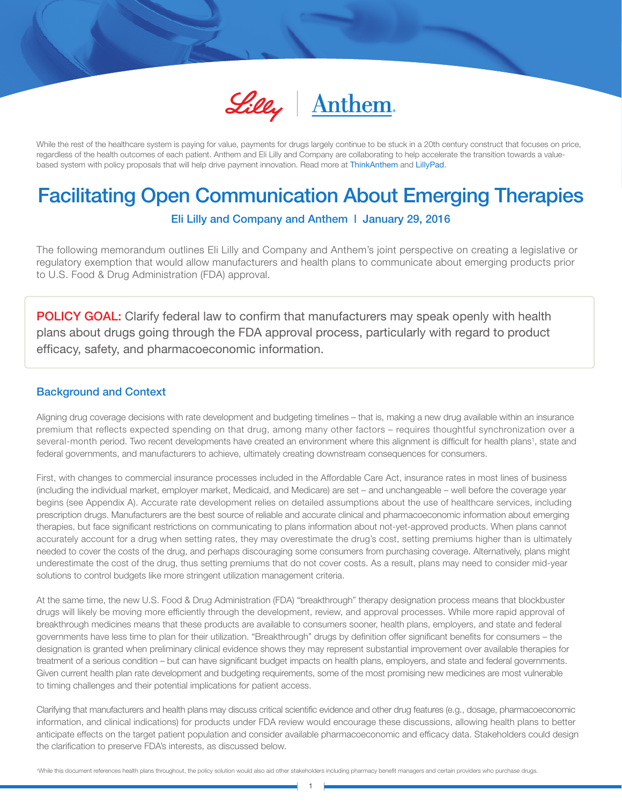

While the rest of the healthcare system is paying for value, payments for drugs largely continue to be stuck in a 20th century construct that focuses on price, regardless of the health outcomes of each patient. Anthem and Eli Lilly and Company are collaborating to help accelerate the transition towards a valuebased system with policy proposals that will help drive payment innovation. Read more at ThinkAnthem and LillyPad.

# Facilitating Open Communication About Emerging Therapies

Eli Lilly and Company and Anthem | January 29, 2016

The following memorandum outlines Eli Lilly and Company and Anthem's joint perspective on creating a legislative or regulatory exemption that would allow manufacturers and health plans to communicate about emerging products prior to U.S. Food & Drug Administration (FDA) approval.

**POLICY GOAL:** Clarify federal law to confirm that manufacturers may speak openly with health plans about drugs going through the FDA approval process, particularly with regard to product efficacy, safety, and pharmacoeconomic information.

# Background and Context

Aligning drug coverage decisions with rate development and budgeting timelines – that is, making a new drug available within an insurance premium that reflects expected spending on that drug, among many other factors – requires thoughtful synchronization over a several-month period. Two recent developments have created an environment where this alignment is difficult for health plans<sup>1</sup>, state and federal governments, and manufacturers to achieve, ultimately creating downstream consequences for consumers.

First, with changes to commercial insurance processes included in the Affordable Care Act, insurance rates in most lines of business (including the individual market, employer market, Medicaid, and Medicare) are set – and unchangeable – well before the coverage year begins (see Appendix A). Accurate rate development relies on detailed assumptions about the use of healthcare services, including prescription drugs. Manufacturers are the best source of reliable and accurate clinical and pharmacoeconomic information about emerging therapies, but face significant restrictions on communicating to plans information about not-yet-approved products. When plans cannot accurately account for a drug when setting rates, they may overestimate the drug's cost, setting premiums higher than is ultimately needed to cover the costs of the drug, and perhaps discouraging some consumers from purchasing coverage. Alternatively, plans might underestimate the cost of the drug, thus setting premiums that do not cover costs. As a result, plans may need to consider mid-year solutions to control budgets like more stringent utilization management criteria.

At the same time, the new U.S. Food & Drug Administration (FDA) "breakthrough" therapy designation process means that blockbuster drugs will likely be moving more efficiently through the development, review, and approval processes. While more rapid approval of breakthrough medicines means that these products are available to consumers sooner, health plans, employers, and state and federal governments have less time to plan for their utilization. "Breakthrough" drugs by definition offer significant benefits for consumers – the designation is granted when preliminary clinical evidence shows they may represent substantial improvement over available therapies for treatment of a serious condition – but can have significant budget impacts on health plans, employers, and state and federal governments. Given current health plan rate development and budgeting requirements, some of the most promising new medicines are most vulnerable to timing challenges and their potential implications for patient access.

Clarifying that manufacturers and health plans may discuss critical scientific evidence and other drug features (e.g., dosage, pharmacoeconomic information, and clinical indications) for products under FDA review would encourage these discussions, allowing health plans to better anticipate effects on the target patient population and consider available pharmacoeconomic and efficacy data. Stakeholders could design the clarification to preserve FDA's interests, as discussed below.

1 While this document references health plans throughout, the policy solution would also aid other stakeholders including pharmacy benefit managers and certain providers who purchase drugs.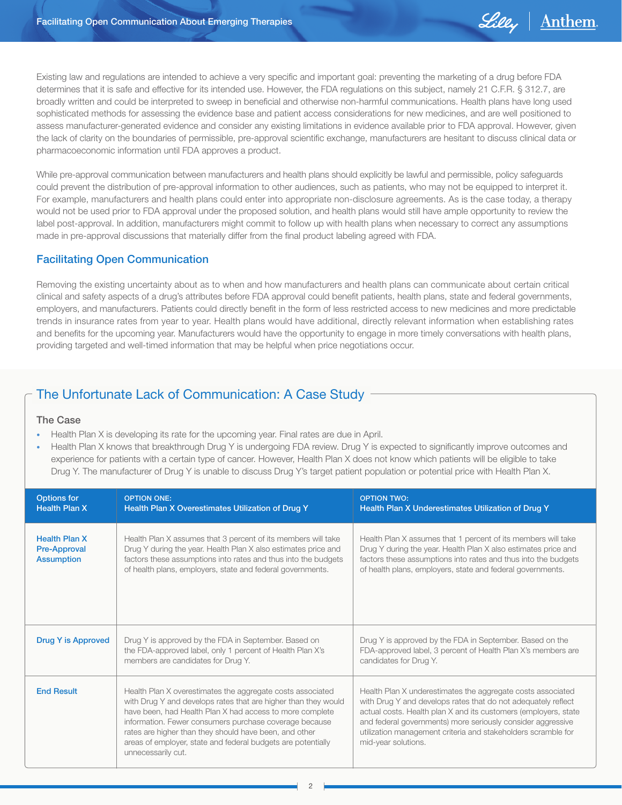

Existing law and regulations are intended to achieve a very specific and important goal: preventing the marketing of a drug before FDA determines that it is safe and effective for its intended use. However, the FDA regulations on this subject, namely 21 C.F.R. § 312.7, are broadly written and could be interpreted to sweep in beneficial and otherwise non-harmful communications. Health plans have long used sophisticated methods for assessing the evidence base and patient access considerations for new medicines, and are well positioned to assess manufacturer-generated evidence and consider any existing limitations in evidence available prior to FDA approval. However, given the lack of clarity on the boundaries of permissible, pre-approval scientific exchange, manufacturers are hesitant to discuss clinical data or pharmacoeconomic information until FDA approves a product.

While pre-approval communication between manufacturers and health plans should explicitly be lawful and permissible, policy safeguards could prevent the distribution of pre-approval information to other audiences, such as patients, who may not be equipped to interpret it. For example, manufacturers and health plans could enter into appropriate non-disclosure agreements. As is the case today, a therapy would not be used prior to FDA approval under the proposed solution, and health plans would still have ample opportunity to review the label post-approval. In addition, manufacturers might commit to follow up with health plans when necessary to correct any assumptions made in pre-approval discussions that materially differ from the final product labeling agreed with FDA.

# Facilitating Open Communication

Removing the existing uncertainty about as to when and how manufacturers and health plans can communicate about certain critical clinical and safety aspects of a drug's attributes before FDA approval could benefit patients, health plans, state and federal governments, employers, and manufacturers. Patients could directly benefit in the form of less restricted access to new medicines and more predictable trends in insurance rates from year to year. Health plans would have additional, directly relevant information when establishing rates and benefits for the upcoming year. Manufacturers would have the opportunity to engage in more timely conversations with health plans, providing targeted and well-timed information that may be helpful when price negotiations occur.

# The Unfortunate Lack of Communication: A Case Study

#### The Case

- Health Plan X is developing its rate for the upcoming year. Final rates are due in April.
- Health Plan X knows that breakthrough Drug Y is undergoing FDA review. Drug Y is expected to significantly improve outcomes and experience for patients with a certain type of cancer. However, Health Plan X does not know which patients will be eligible to take Drug Y. The manufacturer of Drug Y is unable to discuss Drug Y's target patient population or potential price with Health Plan X.

| <b>Options for</b><br><b>Health Plan X</b>                       | <b>OPTION ONE:</b><br>Health Plan X Overestimates Utilization of Drug Y                                                                                                                                                                                                                                                                                                                            | <b>OPTION TWO:</b><br>Health Plan X Underestimates Utilization of Drug Y                                                                                                                                                                                                                                                                               |
|------------------------------------------------------------------|----------------------------------------------------------------------------------------------------------------------------------------------------------------------------------------------------------------------------------------------------------------------------------------------------------------------------------------------------------------------------------------------------|--------------------------------------------------------------------------------------------------------------------------------------------------------------------------------------------------------------------------------------------------------------------------------------------------------------------------------------------------------|
| <b>Health Plan X</b><br><b>Pre-Approval</b><br><b>Assumption</b> | Health Plan X assumes that 3 percent of its members will take<br>Drug Y during the year. Health Plan X also estimates price and<br>factors these assumptions into rates and thus into the budgets<br>of health plans, employers, state and federal governments.                                                                                                                                    | Health Plan X assumes that 1 percent of its members will take<br>Drug Y during the year. Health Plan X also estimates price and<br>factors these assumptions into rates and thus into the budgets<br>of health plans, employers, state and federal governments.                                                                                        |
| Drug Y is Approved                                               | Drug Y is approved by the FDA in September. Based on<br>the FDA-approved label, only 1 percent of Health Plan X's<br>members are candidates for Drug Y.                                                                                                                                                                                                                                            | Drug Y is approved by the FDA in September. Based on the<br>FDA-approved label, 3 percent of Health Plan X's members are<br>candidates for Drug Y.                                                                                                                                                                                                     |
| <b>End Result</b>                                                | Health Plan X overestimates the aggregate costs associated<br>with Drug Y and develops rates that are higher than they would<br>have been, had Health Plan X had access to more complete<br>information. Fewer consumers purchase coverage because<br>rates are higher than they should have been, and other<br>areas of employer, state and federal budgets are potentially<br>unnecessarily cut. | Health Plan X underestimates the aggregate costs associated<br>with Drug Y and develops rates that do not adequately reflect<br>actual costs. Health plan X and its customers (employers, state<br>and federal governments) more seriously consider aggressive<br>utilization management criteria and stakeholders scramble for<br>mid-year solutions. |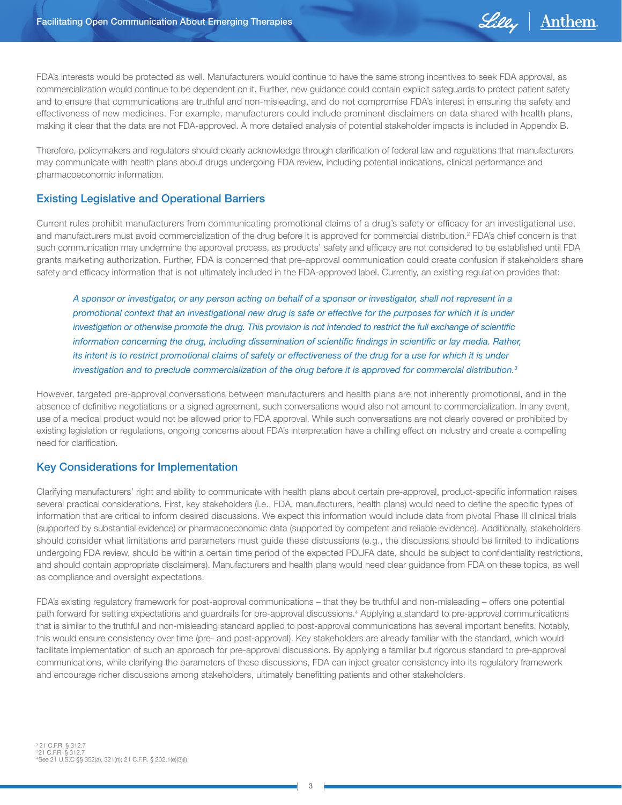

FDA's interests would be protected as well. Manufacturers would continue to have the same strong incentives to seek FDA approval, as commercialization would continue to be dependent on it. Further, new guidance could contain explicit safeguards to protect patient safety and to ensure that communications are truthful and non-misleading, and do not compromise FDA's interest in ensuring the safety and effectiveness of new medicines. For example, manufacturers could include prominent disclaimers on data shared with health plans, making it clear that the data are not FDA-approved. A more detailed analysis of potential stakeholder impacts is included in Appendix B.

Therefore, policymakers and regulators should clearly acknowledge through clarification of federal law and regulations that manufacturers may communicate with health plans about drugs undergoing FDA review, including potential indications, clinical performance and pharmacoeconomic information.

# Existing Legislative and Operational Barriers

Current rules prohibit manufacturers from communicating promotional claims of a drug's safety or efficacy for an investigational use, and manufacturers must avoid commercialization of the drug before it is approved for commercial distribution.<sup>2</sup> FDA's chief concern is that such communication may undermine the approval process, as products' safety and efficacy are not considered to be established until FDA grants marketing authorization. Further, FDA is concerned that pre-approval communication could create confusion if stakeholders share safety and efficacy information that is not ultimately included in the FDA-approved label. Currently, an existing regulation provides that:

*A sponsor or investigator, or any person acting on behalf of a sponsor or investigator, shall not represent in a promotional context that an investigational new drug is safe or effective for the purposes for which it is under investigation or otherwise promote the drug. This provision is not intended to restrict the full exchange of scientific information concerning the drug, including dissemination of scientific findings in scientific or lay media. Rather, its intent is to restrict promotional claims of safety or effectiveness of the drug for a use for which it is under investigation and to preclude commercialization of the drug before it is approved for commercial distribution.3*

However, targeted pre-approval conversations between manufacturers and health plans are not inherently promotional, and in the absence of definitive negotiations or a signed agreement, such conversations would also not amount to commercialization. In any event, use of a medical product would not be allowed prior to FDA approval. While such conversations are not clearly covered or prohibited by existing legislation or regulations, ongoing concerns about FDA's interpretation have a chilling effect on industry and create a compelling need for clarification.

### Key Considerations for Implementation

Clarifying manufacturers' right and ability to communicate with health plans about certain pre-approval, product-specific information raises several practical considerations. First, key stakeholders (i.e., FDA, manufacturers, health plans) would need to define the specific types of information that are critical to inform desired discussions. We expect this information would include data from pivotal Phase III clinical trials (supported by substantial evidence) or pharmacoeconomic data (supported by competent and reliable evidence). Additionally, stakeholders should consider what limitations and parameters must guide these discussions (e.g., the discussions should be limited to indications undergoing FDA review, should be within a certain time period of the expected PDUFA date, should be subject to confidentiality restrictions, and should contain appropriate disclaimers). Manufacturers and health plans would need clear guidance from FDA on these topics, as well as compliance and oversight expectations.

FDA's existing regulatory framework for post-approval communications – that they be truthful and non-misleading – offers one potential path forward for setting expectations and guardrails for pre-approval discussions.4 Applying a standard to pre-approval communications that is similar to the truthful and non-misleading standard applied to post-approval communications has several important benefits. Notably, this would ensure consistency over time (pre- and post-approval). Key stakeholders are already familiar with the standard, which would facilitate implementation of such an approach for pre-approval discussions. By applying a familiar but rigorous standard to pre-approval communications, while clarifying the parameters of these discussions, FDA can inject greater consistency into its regulatory framework and encourage richer discussions among stakeholders, ultimately benefitting patients and other stakeholders.